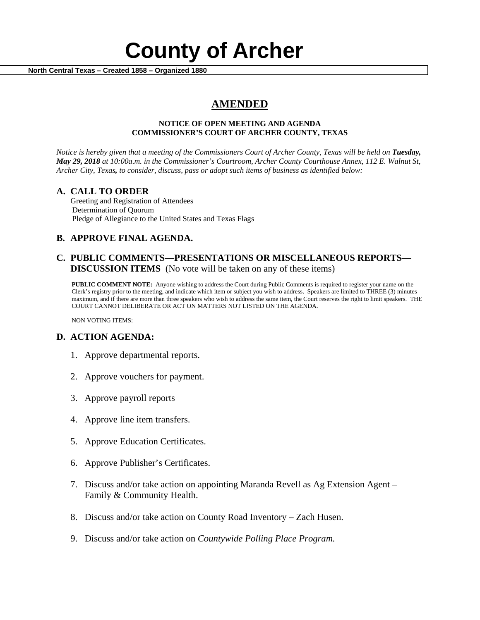# **County of Archer And County of Archer North Central Texas – Created 1858 – Organized 1880**

# **AMENDED**

### **NOTICE OF OPEN MEETING AND AGENDA COMMISSIONER'S COURT OF ARCHER COUNTY, TEXAS**

*Notice is hereby given that a meeting of the Commissioners Court of Archer County, Texas will be held on Tuesday, May 29, 2018 at 10:00a.m. in the Commissioner's Courtroom, Archer County Courthouse Annex, 112 E. Walnut St, Archer City, Texas, to consider, discuss, pass or adopt such items of business as identified below:*

**A. CALL TO ORDER** Greeting and Registration of Attendees Determination of Quorum Pledge of Allegiance to the United States and Texas Flags

# **B. APPROVE FINAL AGENDA.**

# **C. PUBLIC COMMENTS—PRESENTATIONS OR MISCELLANEOUS REPORTS— DISCUSSION ITEMS** (No vote will be taken on any of these items)

**PUBLIC COMMENT NOTE:** Anyone wishing to address the Court during Public Comments is required to register your name on the Clerk's registry prior to the meeting, and indicate which item or subject you wish to address. Speakers are limited to THREE (3) minutes maximum, and if there are more than three speakers who wish to address the same item, the Court reserves the right to limit speakers. THE COURT CANNOT DELIBERATE OR ACT ON MATTERS NOT LISTED ON THE AGENDA.

NON VOTING ITEMS:

# **D. ACTION AGENDA:**

- 1. Approve departmental reports.
- 2. Approve vouchers for payment.
- 3. Approve payroll reports
- 4. Approve line item transfers.
- 5. Approve Education Certificates.
- 6. Approve Publisher's Certificates.
- 7. Discuss and/or take action on appointing Maranda Revell as Ag Extension Agent Family & Community Health.
- 8. Discuss and/or take action on County Road Inventory Zach Husen.
- 9. Discuss and/or take action on *Countywide Polling Place Program.*